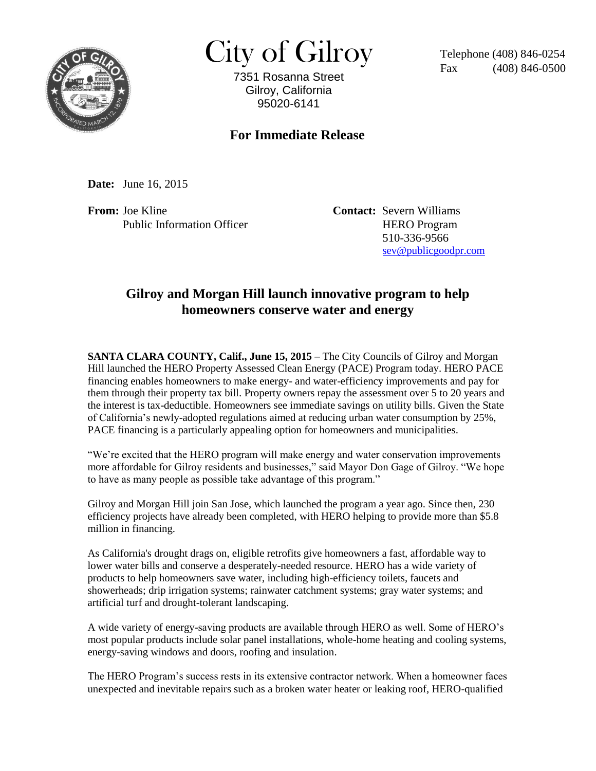

 $City of Gilroy$  Telephone (408) 846-0254

7351 Rosanna Street Gilroy, California 95020-6141

 $(408)$  846-0500

## **For Immediate Release**

**Date:** June 16, 2015

**From:** Joe Kline **Contact:** Severn Williams Public Information Officer HERO Program

 510-336-9566 [sev@publicgoodpr.com](mailto:sev@publicgoodpr.com)

## **Gilroy and Morgan Hill launch innovative program to help homeowners conserve water and energy**

**SANTA CLARA COUNTY, Calif., June 15, 2015** – The City Councils of Gilroy and Morgan Hill launched the HERO Property Assessed Clean Energy (PACE) Program today. HERO PACE financing enables homeowners to make energy- and water-efficiency improvements and pay for them through their property tax bill. Property owners repay the assessment over 5 to 20 years and the interest is tax-deductible. Homeowners see immediate savings on utility bills. Given the State of California's newly-adopted regulations aimed at reducing urban water consumption by 25%, PACE financing is a particularly appealing option for homeowners and municipalities.

"We're excited that the HERO program will make energy and water conservation improvements more affordable for Gilroy residents and businesses," said Mayor Don Gage of Gilroy. "We hope to have as many people as possible take advantage of this program."

Gilroy and Morgan Hill join San Jose, which launched the program a year ago. Since then, 230 efficiency projects have already been completed, with HERO helping to provide more than \$5.8 million in financing.

As California's drought drags on, eligible retrofits give homeowners a fast, affordable way to lower water bills and conserve a desperately-needed resource. HERO has a wide variety of products to help homeowners save water, including high-efficiency toilets, faucets and showerheads; drip irrigation systems; rainwater catchment systems; gray water systems; and artificial turf and drought-tolerant landscaping.

A wide variety of energy-saving products are available through HERO as well. Some of HERO's most popular products include solar panel installations, whole-home heating and cooling systems, energy-saving windows and doors, roofing and insulation.

The HERO Program's success rests in its extensive contractor network. When a homeowner faces unexpected and inevitable repairs such as a broken water heater or leaking roof, HERO-qualified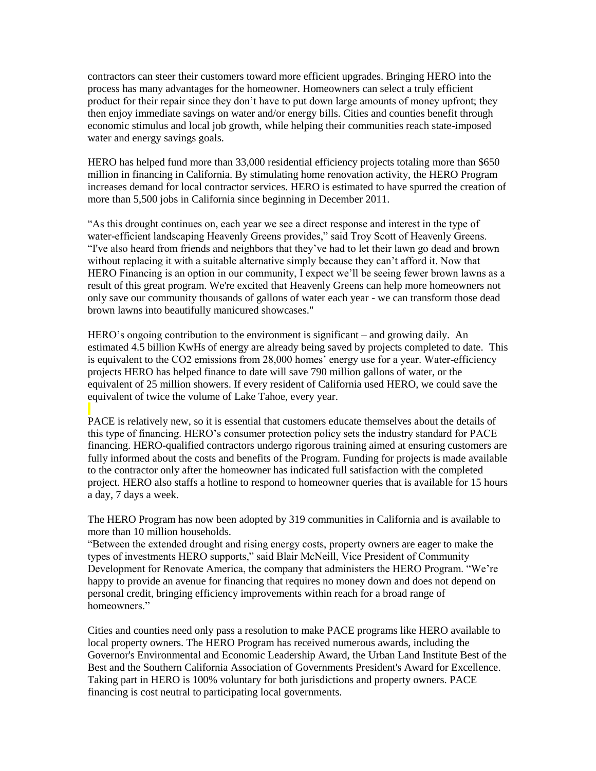contractors can steer their customers toward more efficient upgrades. Bringing HERO into the process has many advantages for the homeowner. Homeowners can select a truly efficient product for their repair since they don't have to put down large amounts of money upfront; they then enjoy immediate savings on water and/or energy bills. Cities and counties benefit through economic stimulus and local job growth, while helping their communities reach state-imposed water and energy savings goals.

HERO has helped fund more than 33,000 residential efficiency projects totaling more than \$650 million in financing in California. By stimulating home renovation activity, the HERO Program increases demand for local contractor services. HERO is estimated to have spurred the creation of more than 5,500 jobs in California since beginning in December 2011.

"As this drought continues on, each year we see a direct response and interest in the type of water-efficient landscaping Heavenly Greens provides," said Troy Scott of Heavenly Greens. "I've also heard from friends and neighbors that they've had to let their lawn go dead and brown without replacing it with a suitable alternative simply because they can't afford it. Now that HERO Financing is an option in our community, I expect we'll be seeing fewer brown lawns as a result of this great program. We're excited that Heavenly Greens can help more homeowners not only save our community thousands of gallons of water each year - we can transform those dead brown lawns into beautifully manicured showcases."

HERO's ongoing contribution to the environment is significant – and growing daily. An estimated 4.5 billion KwHs of energy are already being saved by projects completed to date. This is equivalent to the CO2 emissions from 28,000 homes' energy use for a year. Water-efficiency projects HERO has helped finance to date will save 790 million gallons of water, or the equivalent of 25 million showers. If every resident of California used HERO, we could save the equivalent of twice the volume of Lake Tahoe, every year.

PACE is relatively new, so it is essential that customers educate themselves about the details of this type of financing. HERO's consumer protection policy sets the industry standard for PACE financing. HERO-qualified contractors undergo rigorous training aimed at ensuring customers are fully informed about the costs and benefits of the Program. Funding for projects is made available to the contractor only after the homeowner has indicated full satisfaction with the completed project. HERO also staffs a hotline to respond to homeowner queries that is available for 15 hours a day, 7 days a week.

The HERO Program has now been adopted by 319 communities in California and is available to more than 10 million households.

"Between the extended drought and rising energy costs, property owners are eager to make the types of investments HERO supports," said Blair McNeill, Vice President of Community Development for Renovate America, the company that administers the HERO Program. "We're happy to provide an avenue for financing that requires no money down and does not depend on personal credit, bringing efficiency improvements within reach for a broad range of homeowners."

Cities and counties need only pass a resolution to make PACE programs like HERO available to local property owners. The HERO Program has received numerous awards, including the Governor's Environmental and Economic Leadership Award, the Urban Land Institute Best of the Best and the Southern California Association of Governments President's Award for Excellence. Taking part in HERO is 100% voluntary for both jurisdictions and property owners. PACE financing is cost neutral to participating local governments.